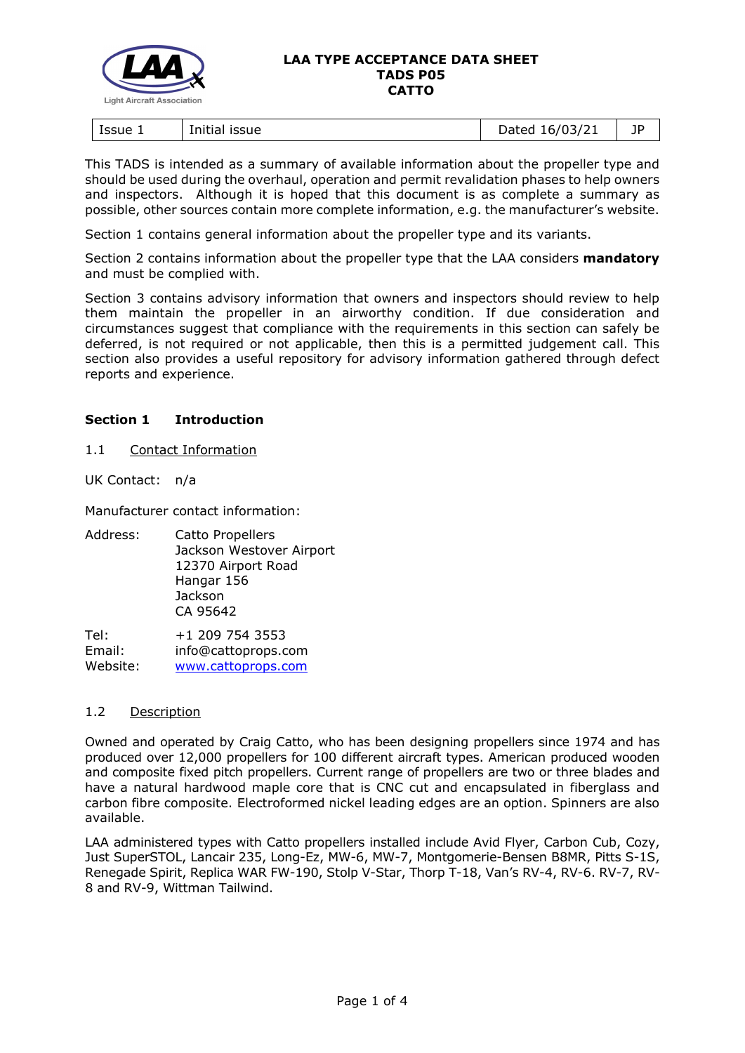

| lssue 1<br>issue<br>Initial | $-0.16/03/2$<br>hatar<br>13/z<br>.,<br>wuccu | --<br>ıμ<br>- 1 |
|-----------------------------|----------------------------------------------|-----------------|
|-----------------------------|----------------------------------------------|-----------------|

This TADS is intended as a summary of available information about the propeller type and should be used during the overhaul, operation and permit revalidation phases to help owners and inspectors. Although it is hoped that this document is as complete a summary as possible, other sources contain more complete information, e.g. the manufacturer's website.

Section 1 contains general information about the propeller type and its variants.

Section 2 contains information about the propeller type that the LAA considers **mandatory** and must be complied with.

Section 3 contains advisory information that owners and inspectors should review to help them maintain the propeller in an airworthy condition. If due consideration and circumstances suggest that compliance with the requirements in this section can safely be deferred, is not required or not applicable, then this is a permitted judgement call. This section also provides a useful repository for advisory information gathered through defect reports and experience.

# **Section 1 Introduction**

1.1 Contact Information

UK Contact: n/a

Manufacturer contact information:

Address: Catto Propellers Jackson Westover Airport 12370 Airport Road Hangar 156 **Jackson** CA 95642

Tel: +1 209 754 3553 Email: info@cattoprops.com Website: [www.cattoprops.com](https://www.cattoprops.com/)

# 1.2 Description

Owned and operated by Craig Catto, who has been designing propellers since 1974 and has produced over 12,000 propellers for 100 different aircraft types. American produced wooden and composite fixed pitch propellers. Current range of propellers are two or three blades and have a natural hardwood maple core that is CNC cut and encapsulated in fiberglass and carbon fibre composite. Electroformed nickel leading edges are an option. Spinners are also available.

LAA administered types with Catto propellers installed include Avid Flyer, Carbon Cub, Cozy, Just SuperSTOL, Lancair 235, Long-Ez, MW-6, MW-7, Montgomerie-Bensen B8MR, Pitts S-1S, Renegade Spirit, Replica WAR FW-190, Stolp V-Star, Thorp T-18, Van's RV-4, RV-6. RV-7, RV-8 and RV-9, Wittman Tailwind.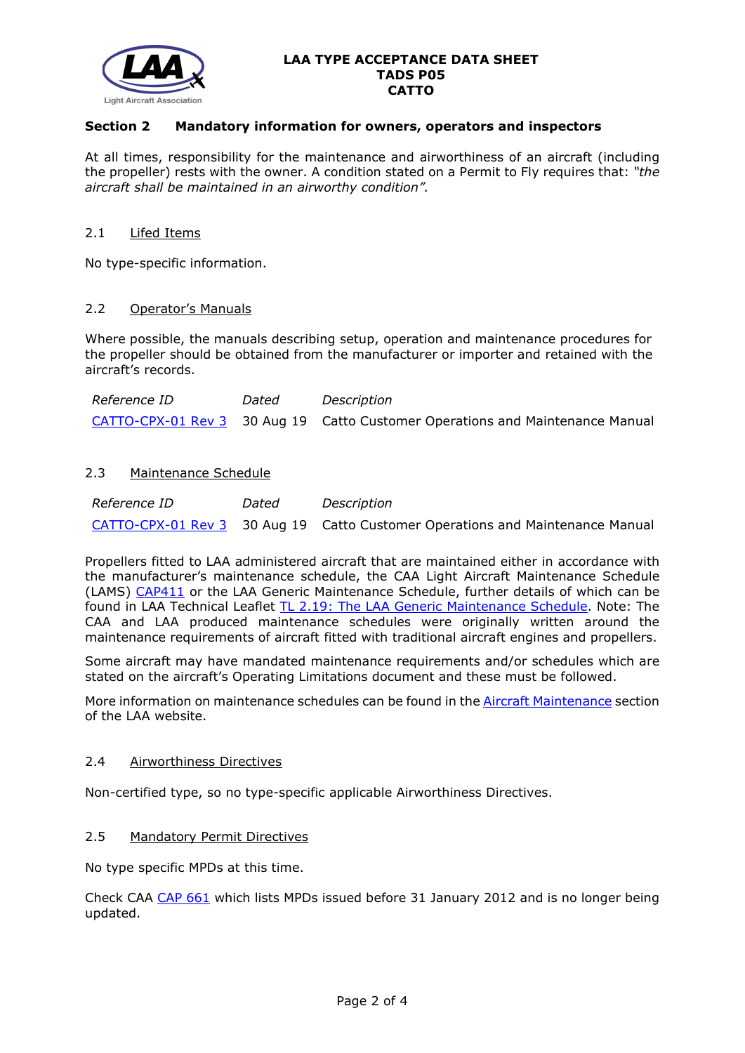

# **Section 2 Mandatory information for owners, operators and inspectors**

At all times, responsibility for the maintenance and airworthiness of an aircraft (including the propeller) rests with the owner. A condition stated on a Permit to Fly requires that: *"the aircraft shall be maintained in an airworthy condition".* 

### 2.1 Lifed Items

No type-specific information.

### 2.2 Operator's Manuals

Where possible, the manuals describing setup, operation and maintenance procedures for the propeller should be obtained from the manufacturer or importer and retained with the aircraft's records.

| <i>Reference ID</i> | Dated | Description                                                                   |
|---------------------|-------|-------------------------------------------------------------------------------|
|                     |       | CATTO-CPX-01 Rev 3 30 Aug 19 Catto Customer Operations and Maintenance Manual |

# 2.3 Maintenance Schedule

| <i>Reference ID</i> | Dated | Description                                                                   |
|---------------------|-------|-------------------------------------------------------------------------------|
|                     |       | CATTO-CPX-01 Rev 3 30 Aug 19 Catto Customer Operations and Maintenance Manual |

Propellers fitted to LAA administered aircraft that are maintained either in accordance with the manufacturer's maintenance schedule, the CAA Light Aircraft Maintenance Schedule (LAMS) [CAP411](http://www.caa.co.uk/CAP411) or the LAA Generic Maintenance Schedule, further details of which can be found in LAA Technical Leaflet [TL 2.19: The LAA Generic Maintenance Schedule.](http://www.lightaircraftassociation.co.uk/engineering/TechnicalLeaflets/Operating%20An%20Aircraft/TL%202.19%20The%20LAA%20Generic%20Maintenance%20Schedule.pdf) Note: The CAA and LAA produced maintenance schedules were originally written around the maintenance requirements of aircraft fitted with traditional aircraft engines and propellers.

Some aircraft may have mandated maintenance requirements and/or schedules which are stated on the aircraft's Operating Limitations document and these must be followed.

More information on maintenance schedules can be found in the [Aircraft Maintenance](http://www.lightaircraftassociation.co.uk/engineering/Maintenance/Aircraft_Maintenance.html) section of the LAA website.

### 2.4 Airworthiness Directives

Non-certified type, so no type-specific applicable Airworthiness Directives.

#### 2.5 Mandatory Permit Directives

No type specific MPDs at this time.

Check CAA [CAP 661](http://www.caa.co.uk/cap661) which lists MPDs issued before 31 January 2012 and is no longer being updated.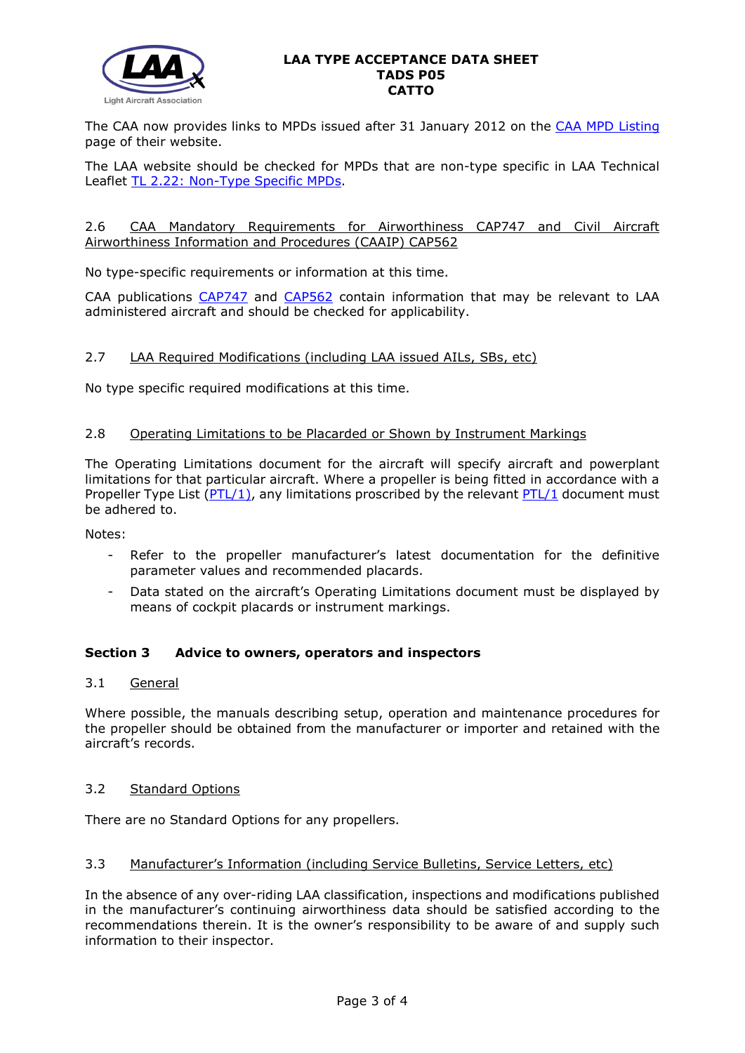

The CAA now provides links to MPDs issued after 31 January 2012 on the [CAA MPD Listing](http://publicapps.caa.co.uk/modalapplication.aspx?appid=11&mode=list&type=sercat&id=55) page of their website.

The LAA website should be checked for MPDs that are non-type specific in LAA Technical Leaflet [TL 2.22: Non-Type Specific MPDs.](http://www.lightaircraftassociation.co.uk/engineering/TechnicalLeaflets/Operating%20An%20Aircraft/TL%202.22%20non-type%20specific%20MPDs.pdf)

### 2.6 CAA Mandatory Requirements for Airworthiness CAP747 and Civil Aircraft Airworthiness Information and Procedures (CAAIP) CAP562

No type-specific requirements or information at this time.

CAA publications [CAP747](http://www.caa.co.uk/CAP747) and [CAP562](http://www.caa.co.uk/CAP562) contain information that may be relevant to LAA administered aircraft and should be checked for applicability.

# 2.7 LAA Required Modifications (including LAA issued AILs, SBs, etc)

No type specific required modifications at this time.

### 2.8 Operating Limitations to be Placarded or Shown by Instrument Markings

The Operating Limitations document for the aircraft will specify aircraft and powerplant limitations for that particular aircraft. Where a propeller is being fitted in accordance with a Propeller Type List ( $PTL/1$ ), any limitations proscribed by the relevant  $PTL/1$  document must be adhered to.

Notes:

- Refer to the propeller manufacturer's latest documentation for the definitive parameter values and recommended placards.
- Data stated on the aircraft's Operating Limitations document must be displayed by means of cockpit placards or instrument markings.

# **Section 3 Advice to owners, operators and inspectors**

# 3.1 General

Where possible, the manuals describing setup, operation and maintenance procedures for the propeller should be obtained from the manufacturer or importer and retained with the aircraft's records.

### 3.2 Standard Options

There are no Standard Options for any propellers.

# 3.3 Manufacturer's Information (including Service Bulletins, Service Letters, etc)

In the absence of any over-riding LAA classification, inspections and modifications published in the manufacturer's continuing airworthiness data should be satisfied according to the recommendations therein. It is the owner's responsibility to be aware of and supply such information to their inspector.